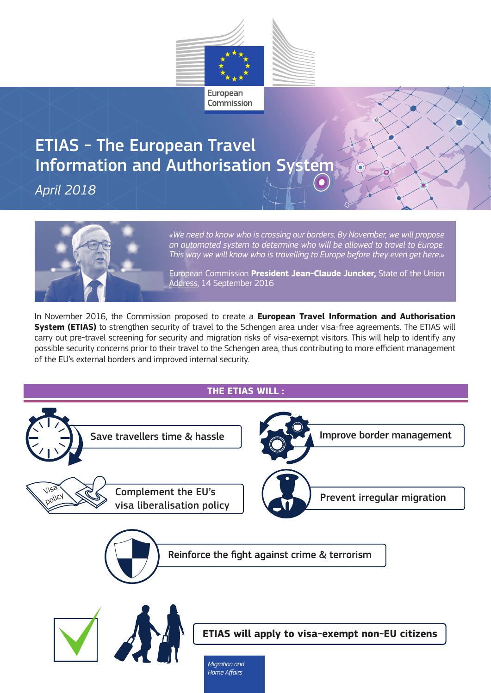

# ETIAS - The European Travel Information and Authorisation System

*April 2018*



*«We need to know who is crossing our borders. By November, we will propose an automated system to determine who will be allowed to travel to Europe. This way we will know who is travelling to Europe before they even get here.»*

European Commission **President Jean-Claude Juncker,** State of the Union Address, 14 September 2016

In November 2016, the Commission proposed to create a **European Travel Information and Authorisation System (ETIAS)** to strengthen security of travel to the Schengen area under visa-free agreements. The ETIAS will carry out pre-travel screening for security and migration risks of visa-exempt visitors. This will help to identify any possible security concerns prior to their travel to the Schengen area, thus contributing to more efficient management of the EU's external borders and improved internal security.

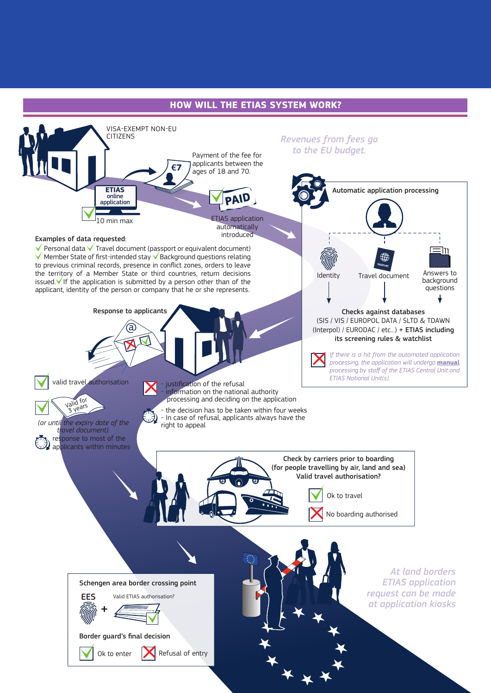